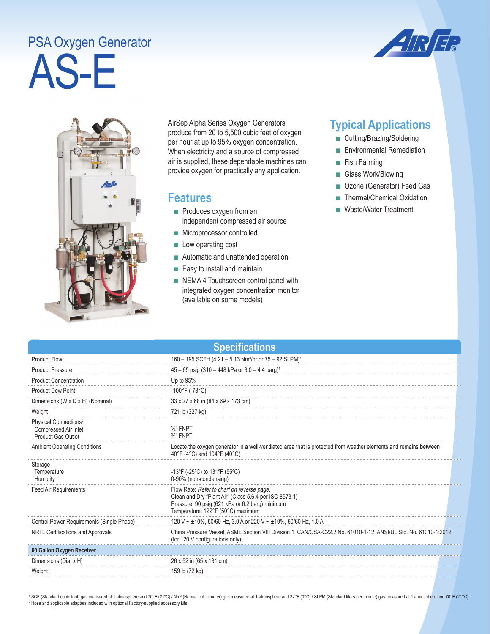## AS-E PSA Oxygen Generator





AirSep Alpha Series Oxygen Generators produce from 20 to 5,500 cubic feet of oxygen per hour at up to 95% oxygen concentration. When electricity and a source of compressed air is supplied, these dependable machines can provide oxygen for practically any application.

## **Features**

- Produces oxygen from an independent compressed air source
- Microprocessor controlled
- Low operating cost
- Automatic and unattended operation
- Easy to install and maintain
- NEMA 4 Touchscreen control panel with integrated oxygen concentration monitor (available on some models)

## **Typical Applications**

- Cutting/Brazing/Soldering
- Environmental Remediation
- Fish Farming
- Glass Work/Blowing
- Ozone (Generator) Feed Gas
- Thermal/Chemical Oxidation
- Waste/Water Treatment

| <b>Specifications</b>                                                                  |                                                                                                                                                                                              |  |  |
|----------------------------------------------------------------------------------------|----------------------------------------------------------------------------------------------------------------------------------------------------------------------------------------------|--|--|
| <b>Product Flow</b>                                                                    | 160 - 195 SCFH (4.21 - 5.13 Nm <sup>3</sup> /hr or 75 - 92 SLPM) <sup>1</sup>                                                                                                                |  |  |
| <b>Product Pressure</b>                                                                | $45 - 65$ psig (310 - 448 kPa or 3.0 - 4.4 barg) <sup>1</sup>                                                                                                                                |  |  |
| <b>Product Concentration</b>                                                           | Up to 95%                                                                                                                                                                                    |  |  |
| <b>Product Dew Point</b>                                                               | $-100^{\circ}$ F (-73°C)                                                                                                                                                                     |  |  |
| Dimensions (W x D x H) (Nominal)                                                       | 33 x 27 x 68 in (84 x 69 x 173 cm)                                                                                                                                                           |  |  |
| Weight                                                                                 | 721 lb (327 kg)                                                                                                                                                                              |  |  |
| Physical Connections <sup>2</sup><br>Compressed Air Inlet<br><b>Product Gas Outlet</b> | $\frac{1}{2}$ " FNPT<br>$\frac{3}{8}$ " FNPT                                                                                                                                                 |  |  |
| <b>Ambient Operating Conditions</b>                                                    | Locate the oxygen generator in a well-ventilated area that is protected from weather elements and remains between<br>40°F (4°C) and 104°F (40°C)                                             |  |  |
| Storage<br>Temperature<br>Humidity                                                     | -13°F (-25°C) to 131°F (55°C)<br>0-90% (non-condensing)                                                                                                                                      |  |  |
| <b>Feed Air Requirements</b>                                                           | Flow Rate: Refer to chart on reverse page.<br>Clean and Dry "Plant Air" (Class 5.6.4 per ISO 8573.1)<br>Pressure: 90 psig (621 kPa or 6.2 barg) minimum<br>Temperature: 122°F (50°C) maximum |  |  |
| Control Power Requirements (Single Phase)                                              | 120 V ~ ±10%, 50/60 Hz, 3.0 A or 220 V ~ ±10%, 50/60 Hz, 1.0 A                                                                                                                               |  |  |
| NRTL Certifications and Approvals                                                      | China Pressure Vessel, ASME Section VIII Division 1, CAN/CSA-C22.2 No. 61010-1-12, ANSI/UL Std. No. 61010-1:2012<br>(for 120 V configurations only)                                          |  |  |
| 60 Gallon Oxygen Receiver                                                              |                                                                                                                                                                                              |  |  |
| Dimensions (Dia. x H)                                                                  | 26 x 52 in (65 x 131 cm)                                                                                                                                                                     |  |  |
| Weight                                                                                 | 159 lb (72 kg)                                                                                                                                                                               |  |  |

<sup>1</sup> SCF (Standard cubic foot) gas measured at 1 atmosphere and 70°F (21°C) / Nm<sup>3</sup> (Normal cubic meter) gas measured at 1 atmosphere and 32°F (0°C) / SLPM (Standard liters per minute) gas measured at 1 atmosphere and 70°F <sup>2</sup> Hose and applicable adapters included with optional Factory-supplied accessory kits.